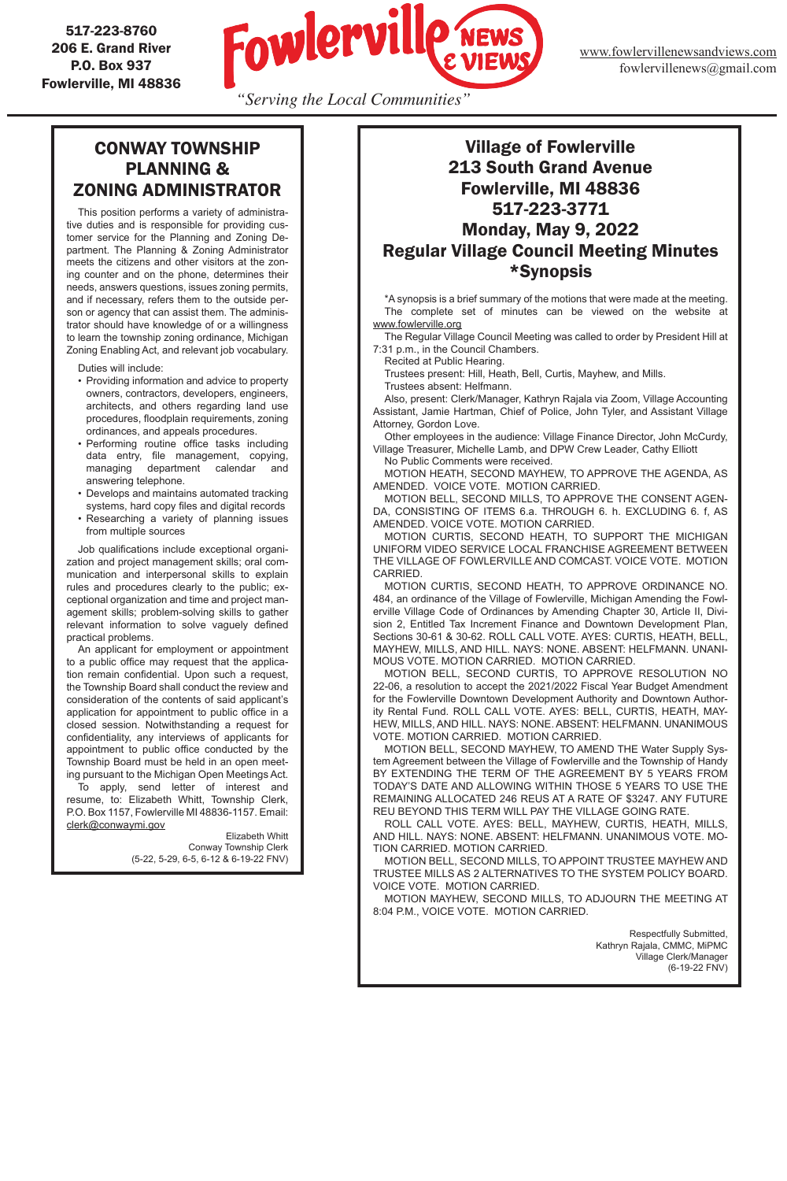*"Serving the Local Communities"*

517-223-8760 206 E. Grand River P.O. Box 937 Fowlerville, MI 48836



## CONWAY TOWNSHIP PLANNING & ZONING ADMINISTRATOR

This position performs a variety of administrative duties and is responsible for providing customer service for the Planning and Zoning Department. The Planning & Zoning Administrator meets the citizens and other visitors at the zoning counter and on the phone, determines their needs, answers questions, issues zoning permits, and if necessary, refers them to the outside person or agency that can assist them. The administrator should have knowledge of or a willingness to learn the township zoning ordinance, Michigan Zoning Enabling Act, and relevant job vocabulary.

Duties will include:

- Providing information and advice to property owners, contractors, developers, engineers, architects, and others regarding land use procedures, floodplain requirements, zoning ordinances, and appeals procedures.
- Performing routine office tasks including data entry, file management, copying, managing department calendar and answering telephone.
- Develops and maintains automated tracking systems, hard copy files and digital records
- Researching a variety of planning issues from multiple sources

 Job qualifications include exceptional organization and project management skills; oral communication and interpersonal skills to explain rules and procedures clearly to the public; exceptional organization and time and project management skills; problem-solving skills to gather relevant information to solve vaguely defined practical problems.

An applicant for employment or appointment to a public office may request that the application remain confidential. Upon such a request, the Township Board shall conduct the review and consideration of the contents of said applicant's application for appointment to public office in a closed session. Notwithstanding a request for confidentiality, any interviews of applicants for appointment to public office conducted by the Township Board must be held in an open meeting pursuant to the Michigan Open Meetings Act.

To apply, send letter of interest and resume, to: Elizabeth Whitt, Township Clerk, P.O. Box 1157, Fowlerville MI 48836-1157. Email: clerk@conwaymi.gov

Elizabeth Whitt Conway Township Clerk (5-22, 5-29, 6-5, 6-12 & 6-19-22 FNV)

## Village of Fowlerville 213 South Grand Avenue Fowlerville, MI 48836 517-223-3771 Monday, May 9, 2022 Regular Village Council Meeting Minutes \*Synopsis

\*A synopsis is a brief summary of the motions that were made at the meeting. The complete set of minutes can be viewed on the website at www.fowlerville.org

The Regular Village Council Meeting was called to order by President Hill at 7:31 p.m., in the Council Chambers.

Recited at Public Hearing.

Trustees present: Hill, Heath, Bell, Curtis, Mayhew, and Mills.

Trustees absent: Helfmann.

Also, present: Clerk/Manager, Kathryn Rajala via Zoom, Village Accounting Assistant, Jamie Hartman, Chief of Police, John Tyler, and Assistant Village Attorney, Gordon Love.

Other employees in the audience: Village Finance Director, John McCurdy, Village Treasurer, Michelle Lamb, and DPW Crew Leader, Cathy Elliott

No Public Comments were received.

MOTION HEATH, SECOND MAYHEW, TO APPROVE THE AGENDA, AS AMENDED. VOICE VOTE. MOTION CARRIED.

MOTION BELL, SECOND MILLS, TO APPROVE THE CONSENT AGEN-DA, CONSISTING OF ITEMS 6.a. THROUGH 6. h. EXCLUDING 6. f, AS AMENDED. VOICE VOTE. MOTION CARRIED.

MOTION CURTIS, SECOND HEATH, TO SUPPORT THE MICHIGAN UNIFORM VIDEO SERVICE LOCAL FRANCHISE AGREEMENT BETWEEN THE VILLAGE OF FOWLERVILLE AND COMCAST. VOICE VOTE. MOTION CARRIED.

MOTION CURTIS, SECOND HEATH, TO APPROVE ORDINANCE NO. 484, an ordinance of the Village of Fowlerville, Michigan Amending the Fowlerville Village Code of Ordinances by Amending Chapter 30, Article II, Division 2, Entitled Tax Increment Finance and Downtown Development Plan, Sections 30-61 & 30-62. ROLL CALL VOTE. AYES: CURTIS, HEATH, BELL, MAYHEW, MILLS, AND HILL. NAYS: NONE. ABSENT: HELFMANN. UNANI-MOUS VOTE. MOTION CARRIED. MOTION CARRIED.

MOTION BELL, SECOND CURTIS, TO APPROVE RESOLUTION NO 22-06, a resolution to accept the 2021/2022 Fiscal Year Budget Amendment for the Fowlerville Downtown Development Authority and Downtown Authority Rental Fund. ROLL CALL VOTE. AYES: BELL, CURTIS, HEATH, MAY-HEW, MILLS, AND HILL. NAYS: NONE. ABSENT: HELFMANN. UNANIMOUS VOTE. MOTION CARRIED. MOTION CARRIED.

MOTION BELL, SECOND MAYHEW, TO AMEND THE Water Supply System Agreement between the Village of Fowlerville and the Township of Handy BY EXTENDING THE TERM OF THE AGREEMENT BY 5 YEARS FROM TODAY'S DATE AND ALLOWING WITHIN THOSE 5 YEARS TO USE THE REMAINING ALLOCATED 246 REUS AT A RATE OF \$3247. ANY FUTURE REU BEYOND THIS TERM WILL PAY THE VILLAGE GOING RATE.

ROLL CALL VOTE. AYES: BELL, MAYHEW, CURTIS, HEATH, MILLS, AND HILL. NAYS: NONE. ABSENT: HELFMANN. UNANIMOUS VOTE. MO-TION CARRIED. MOTION CARRIED.

MOTION BELL, SECOND MILLS, TO APPOINT TRUSTEE MAYHEW AND TRUSTEE MILLS AS 2 ALTERNATIVES TO THE SYSTEM POLICY BOARD. VOICE VOTE. MOTION CARRIED.

MOTION MAYHEW, SECOND MILLS, TO ADJOURN THE MEETING AT 8:04 P.M., VOICE VOTE. MOTION CARRIED.

Kathryn Rajala, CMMC, MiPMC Village Clerk/Manager (6-19-22 FNV)